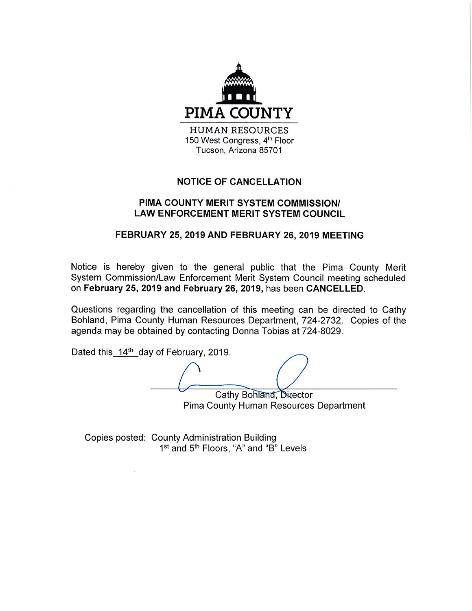

150 West Congress, 4th Floor Tucson, Arizona 85701

## **NOTICE OF CANCELLATION**

## PIMA COUNTY MERIT SYSTEM COMMISSION/ **LAW ENFORCEMENT MERIT SYSTEM COUNCIL**

## FEBRUARY 25, 2019 AND FEBRUARY 26, 2019 MEETING

Notice is hereby given to the general public that the Pima County Merit System Commission/Law Enforcement Merit System Council meeting scheduled on February 25, 2019 and February 26, 2019, has been CANCELLED.

Questions regarding the cancellation of this meeting can be directed to Cathy Bohland, Pima County Human Resources Department, 724-2732. Copies of the agenda may be obtained by contacting Donna Tobias at 724-8029.

Dated this 14<sup>th</sup> day of February, 2019.

Cathy Bohland, Director

Pima County Human Resources Department

Copies posted: County Administration Building 1<sup>st</sup> and 5<sup>th</sup> Floors, "A" and "B" Levels